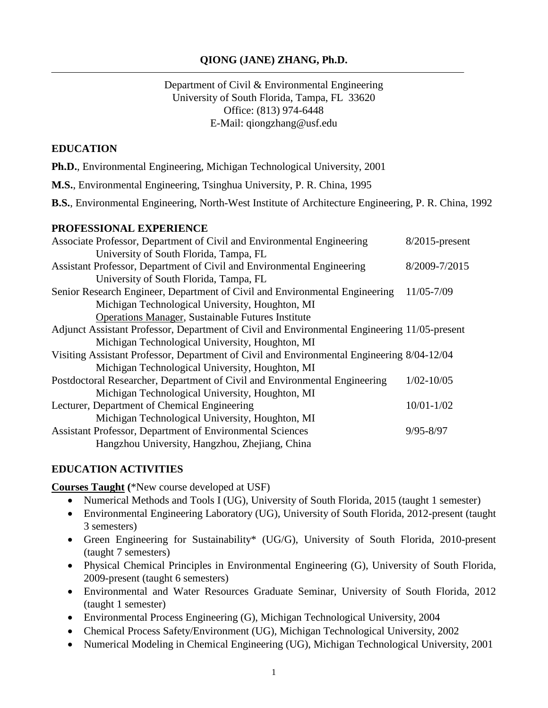#### **QIONG (JANE) ZHANG, Ph.D.**

Department of Civil & Environmental Engineering University of South Florida, Tampa, FL 33620 Office: (813) 974-6448 E-Mail: qiongzhang@usf.edu

#### **EDUCATION**

- **Ph.D.**, Environmental Engineering, Michigan Technological University, 2001
- **M.S.**, Environmental Engineering, Tsinghua University, P. R. China, 1995

**B.S.**, Environmental Engineering, North-West Institute of Architecture Engineering, P. R. China, 1992

#### **PROFESSIONAL EXPERIENCE**

| Associate Professor, Department of Civil and Environmental Engineering                       | $8/2015$ -present |
|----------------------------------------------------------------------------------------------|-------------------|
| University of South Florida, Tampa, FL                                                       |                   |
| Assistant Professor, Department of Civil and Environmental Engineering                       | 8/2009-7/2015     |
| University of South Florida, Tampa, FL                                                       |                   |
| Senior Research Engineer, Department of Civil and Environmental Engineering                  | 11/05-7/09        |
| Michigan Technological University, Houghton, MI                                              |                   |
| <b>Operations Manager, Sustainable Futures Institute</b>                                     |                   |
| Adjunct Assistant Professor, Department of Civil and Environmental Engineering 11/05-present |                   |
| Michigan Technological University, Houghton, MI                                              |                   |
| Visiting Assistant Professor, Department of Civil and Environmental Engineering 8/04-12/04   |                   |
| Michigan Technological University, Houghton, MI                                              |                   |
| Postdoctoral Researcher, Department of Civil and Environmental Engineering                   | $1/02 - 10/05$    |
| Michigan Technological University, Houghton, MI                                              |                   |
| Lecturer, Department of Chemical Engineering                                                 | $10/01 - 1/02$    |
| Michigan Technological University, Houghton, MI                                              |                   |
| Assistant Professor, Department of Environmental Sciences                                    | $9/95 - 8/97$     |
| Hangzhou University, Hangzhou, Zhejiang, China                                               |                   |

#### **EDUCATION ACTIVITIES**

**Courses Taught (**\*New course developed at USF)

- Numerical Methods and Tools I (UG), University of South Florida, 2015 (taught 1 semester)
- Environmental Engineering Laboratory (UG), University of South Florida, 2012-present (taught 3 semesters)
- Green Engineering for Sustainability\* (UG/G), University of South Florida, 2010-present (taught 7 semesters)
- Physical Chemical Principles in Environmental Engineering (G), University of South Florida, 2009-present (taught 6 semesters)
- Environmental and Water Resources Graduate Seminar, University of South Florida, 2012 (taught 1 semester)
- Environmental Process Engineering (G), Michigan Technological University, 2004
- Chemical Process Safety/Environment (UG), Michigan Technological University, 2002
- Numerical Modeling in Chemical Engineering (UG), Michigan Technological University, 2001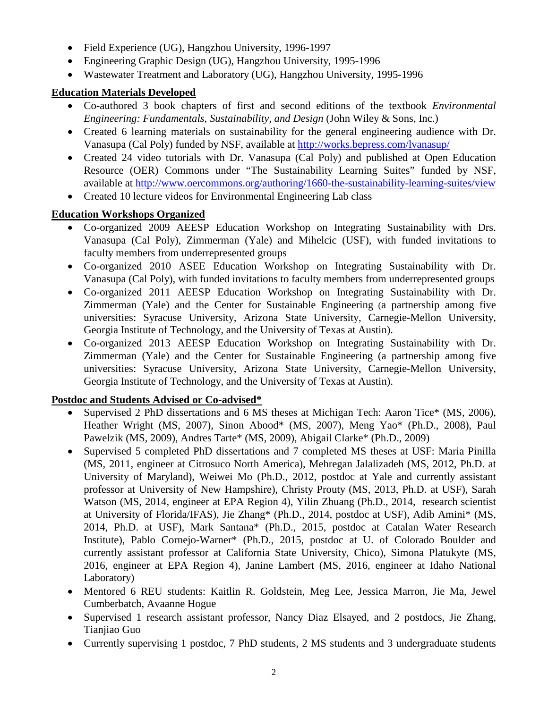- Field Experience (UG), Hangzhou University, 1996-1997
- Engineering Graphic Design (UG), Hangzhou University, 1995-1996
- Wastewater Treatment and Laboratory (UG), Hangzhou University, 1995-1996

## **Education Materials Developed**

- Co-authored 3 book chapters of first and second editions of the textbook *Environmental Engineering: Fundamentals, Sustainability, and Design* (John Wiley & Sons, Inc.)
- Created 6 learning materials on sustainability for the general engineering audience with Dr. Vanasupa (Cal Poly) funded by NSF, available at<http://works.bepress.com/lvanasup/>
- Created 24 video tutorials with Dr. Vanasupa (Cal Poly) and published at Open Education Resource (OER) Commons under "The Sustainability Learning Suites" funded by NSF, available at<http://www.oercommons.org/authoring/1660-the-sustainability-learning-suites/view>
- Created 10 lecture videos for Environmental Engineering Lab class

# **Education Workshops Organized**

- Co-organized 2009 AEESP Education Workshop on Integrating Sustainability with Drs. Vanasupa (Cal Poly), Zimmerman (Yale) and Mihelcic (USF), with funded invitations to faculty members from underrepresented groups
- Co-organized 2010 ASEE Education Workshop on Integrating Sustainability with Dr. Vanasupa (Cal Poly), with funded invitations to faculty members from underrepresented groups
- Co-organized 2011 AEESP Education Workshop on Integrating Sustainability with Dr. Zimmerman (Yale) and the Center for Sustainable Engineering (a partnership among five universities: Syracuse University, Arizona State University, Carnegie-Mellon University, Georgia Institute of Technology, and the University of Texas at Austin).
- Co-organized 2013 AEESP Education Workshop on Integrating Sustainability with Dr. Zimmerman (Yale) and the Center for Sustainable Engineering (a partnership among five universities: Syracuse University, Arizona State University, Carnegie-Mellon University, Georgia Institute of Technology, and the University of Texas at Austin).

## **Postdoc and Students Advised or Co-advised\***

- Supervised 2 PhD dissertations and 6 MS theses at Michigan Tech: Aaron Tice\* (MS, 2006), Heather Wright (MS, 2007), Sinon Abood\* (MS, 2007), Meng Yao\* (Ph.D., 2008), Paul Pawelzik (MS, 2009), Andres Tarte\* (MS, 2009), Abigail Clarke\* (Ph.D., 2009)
- Supervised 5 completed PhD dissertations and 7 completed MS theses at USF: Maria Pinilla (MS, 2011, engineer at Citrosuco North America), Mehregan Jalalizadeh (MS, 2012, Ph.D. at University of Maryland), Weiwei Mo (Ph.D., 2012, postdoc at Yale and currently assistant professor at University of New Hampshire), Christy Prouty (MS, 2013, Ph.D. at USF), Sarah Watson (MS, 2014, engineer at EPA Region 4), Yilin Zhuang (Ph.D., 2014, research scientist at University of Florida/IFAS), Jie Zhang\* (Ph.D., 2014, postdoc at USF), Adib Amini\* (MS, 2014, Ph.D. at USF), Mark Santana\* (Ph.D., 2015, postdoc at Catalan Water Research Institute), Pablo Cornejo-Warner\* (Ph.D., 2015, postdoc at U. of Colorado Boulder and currently assistant professor at California State University, Chico), Simona Platukyte (MS, 2016, engineer at EPA Region 4), Janine Lambert (MS, 2016, engineer at Idaho National Laboratory)
- Mentored 6 REU students: Kaitlin R. Goldstein, Meg Lee, Jessica Marron, Jie Ma, Jewel Cumberbatch, Avaanne Hogue
- Supervised 1 research assistant professor, Nancy Diaz Elsayed, and 2 postdocs, Jie Zhang, Tianjiao Guo
- Currently supervising 1 postdoc, 7 PhD students, 2 MS students and 3 undergraduate students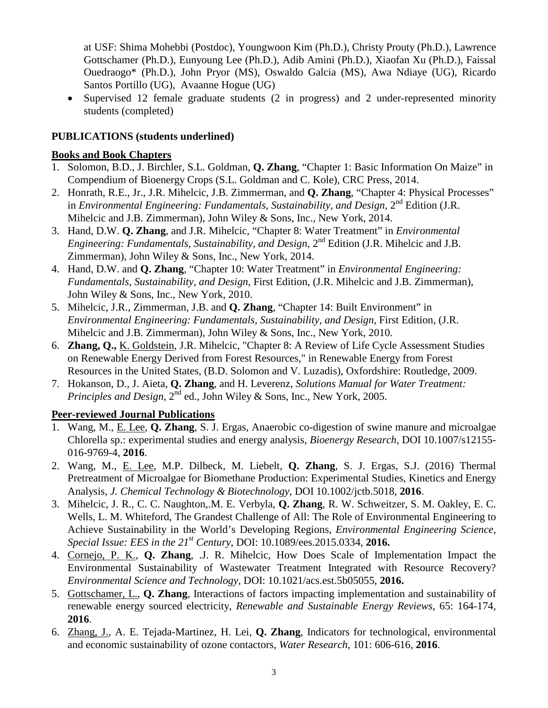at USF: Shima Mohebbi (Postdoc), Youngwoon Kim (Ph.D.), Christy Prouty (Ph.D.), Lawrence Gottschamer (Ph.D.), Eunyoung Lee (Ph.D.), Adib Amini (Ph.D.), Xiaofan Xu (Ph.D.), Faissal Ouedraogo\* (Ph.D.), John Pryor (MS), Oswaldo Galcia (MS), Awa Ndiaye (UG), Ricardo Santos Portillo (UG), Avaanne Hogue (UG)

• Supervised 12 female graduate students (2 in progress) and 2 under-represented minority students (completed)

#### **PUBLICATIONS (students underlined)**

#### **Books and Book Chapters**

- 1. Solomon, B.D., J. Birchler, S.L. Goldman, **Q. Zhang**, "Chapter 1: Basic Information On Maize" in Compendium of Bioenergy Crops (S.L. Goldman and C. Kole), CRC Press, 2014.
- 2. Honrath, R.E., Jr., J.R. Mihelcic, J.B. Zimmerman, and **Q. Zhang**, "Chapter 4: Physical Processes" in *Environmental Engineering: Fundamentals, Sustainability, and Design,* 2<sup>nd</sup> Edition (J.R. Mihelcic and J.B. Zimmerman), John Wiley & Sons, Inc., New York, 2014.
- 3. Hand, D.W. **Q. Zhang**, and J.R. Mihelcic, "Chapter 8: Water Treatment" in *Environmental Engineering: Fundamentals, Sustainability, and Design,* 2<sup>nd</sup> Edition (J.R. Mihelcic and J.B. Zimmerman), John Wiley & Sons, Inc., New York, 2014.
- 4. Hand, D.W. and **Q. Zhang**, "Chapter 10: Water Treatment" in *Environmental Engineering: Fundamentals, Sustainability, and Design*, First Edition, (J.R. Mihelcic and J.B. Zimmerman), John Wiley & Sons, Inc., New York, 2010.
- 5. Mihelcic, J.R., Zimmerman, J.B. and **Q. Zhang**, "Chapter 14: Built Environment" in *Environmental Engineering: Fundamentals, Sustainability, and Design*, First Edition, (J.R. Mihelcic and J.B. Zimmerman), John Wiley & Sons, Inc., New York, 2010.
- 6. **Zhang, Q.,** K. Goldstein, J.R. Mihelcic, "Chapter 8: A Review of Life Cycle Assessment Studies on Renewable Energy Derived from Forest Resources," in Renewable Energy from Forest Resources in the United States, (B.D. Solomon and V. Luzadis), Oxfordshire: Routledge, 2009.
- 7. Hokanson, D., J. Aieta, **Q. Zhang**, and H. Leverenz, *Solutions Manual for Water Treatment: Principles and Design*,  $2^{\text{nd}}$  ed., John Wiley & Sons, Inc., New York, 2005.

## **Peer-reviewed Journal Publications**

- 1. Wang, M., E. Lee, **Q. Zhang**, S. J. Ergas, Anaerobic co-digestion of swine manure and microalgae Chlorella sp.: experimental studies and energy analysis, *Bioenergy Research*, DOI 10.1007/s12155- 016-9769-4, **2016**.
- 2. Wang, M., E. Lee, M.P. Dilbeck, M. Liebelt, **Q. Zhang**, S. J. Ergas, S.J. (2016) Thermal Pretreatment of Microalgae for Biomethane Production: Experimental Studies, Kinetics and Energy Analysis, *J. Chemical Technology & Biotechnology*, DOI 10.1002/jctb.5018, **2016**.
- 3. Mihelcic, J. R., C. C. Naughton,.M. E. Verbyla, **Q. Zhang**, R. W. Schweitzer, S. M. Oakley, E. C. Wells, L. M. Whiteford, The Grandest Challenge of All: The Role of Environmental Engineering to Achieve Sustainability in the World's Developing Regions, *Environmental Engineering Science, Special Issue: EES in the 21st Century*, DOI: 10.1089/ees.2015.0334, **2016.**
- 4. Cornejo, P. K., **Q. Zhang**, .J. R. Mihelcic, How Does Scale of Implementation Impact the Environmental Sustainability of Wastewater Treatment Integrated with Resource Recovery? *Environmental Science and Technology*, DOI: 10.1021/acs.est.5b05055, **2016.**
- 5. Gottschamer, L., **Q. Zhang**, Interactions of factors impacting implementation and sustainability of renewable energy sourced electricity, *Renewable and Sustainable Energy Reviews*, 65: 164-174, **2016**.
- 6. Zhang, J., A. E. Tejada-Martinez, H. Lei, **Q. Zhang**, Indicators for technological, environmental and economic sustainability of ozone contactors, *Water Research*, 101: 606-616, **2016**.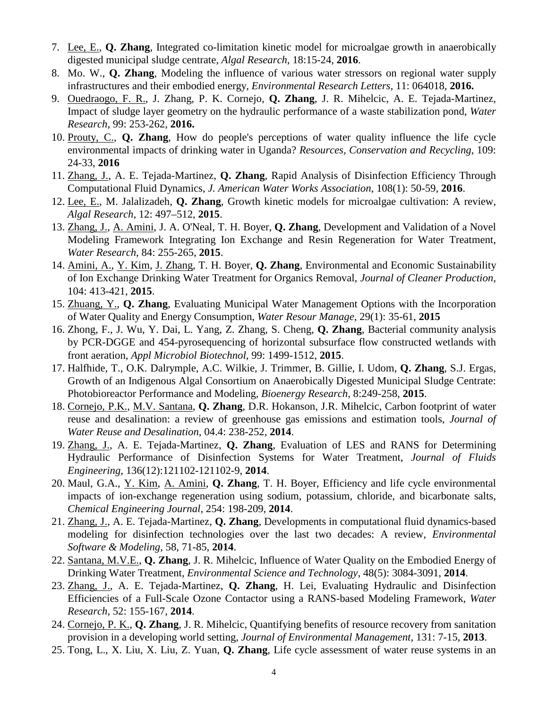- 7. Lee, E., **Q. Zhang**, Integrated co-limitation kinetic model for microalgae growth in anaerobically digested municipal sludge centrate, *Algal Research*, 18:15-24, **2016**.
- 8. Mo. W., **Q. Zhang**, Modeling the influence of various water stressors on regional water supply infrastructures and their embodied energy, *Environmental Research Letters*, 11: 064018, **2016.**
- 9. Ouedraogo, F. R., J. Zhang, P. K. Cornejo, **Q. Zhang**, J. R. Mihelcic, A. E. Tejada-Martinez, Impact of sludge layer geometry on the hydraulic performance of a waste stabilization pond, *Water Research*, 99: 253-262, **2016.**
- 10. Prouty, C., **Q. Zhang**, How do people's perceptions of water quality influence the life cycle environmental impacts of drinking water in Uganda? *Resources, Conservation and Recycling*, 109: 24-33, **2016**
- 11. Zhang, J., A. E. Tejada-Martinez, **Q. Zhang**, Rapid Analysis of Disinfection Efficiency Through Computational Fluid Dynamics, *J. American Water Works Association*, 108(1): 50-59, **2016**.
- 12. Lee, E., M. Jalalizadeh, **Q. Zhang**, Growth kinetic models for microalgae cultivation: A review, *Algal Research*, 12: 497–512, **2015**.
- 13. Zhang, J., A. Amini, J. A. O'Neal, T. H. Boyer, **Q. Zhang**, Development and Validation of a Novel Modeling Framework Integrating Ion Exchange and Resin Regeneration for Water Treatment, *Water Research*, 84: 255-265, **2015**.
- 14. Amini, A., Y. Kim, J. Zhang, T. H. Boyer, **Q. Zhang**, Environmental and Economic Sustainability of Ion Exchange Drinking Water Treatment for Organics Removal, *Journal of Cleaner Production*, 104: 413-421, **2015**.
- 15. Zhuang, Y., **Q. Zhang**, Evaluating Municipal Water Management Options with the Incorporation of Water Quality and Energy Consumption, *Water Resour Manage*, 29(1): 35-61, **2015**
- 16. Zhong, F., J. Wu, Y. Dai, L. Yang, Z. Zhang, S. Cheng, **Q. Zhang**, Bacterial community analysis by PCR-DGGE and 454-pyrosequencing of horizontal subsurface flow constructed wetlands with front aeration, *Appl Microbiol Biotechnol*, 99: 1499-1512, **2015**.
- 17. Halfhide, T., O.K. Dalrymple, A.C. Wilkie, J. Trimmer, B. Gillie, I. Udom, **Q. Zhang**, S.J. Ergas, Growth of an Indigenous Algal Consortium on Anaerobically Digested Municipal Sludge Centrate: Photobioreactor Performance and Modeling, *Bioenergy Research*, 8:249-258, **2015**.
- 18. Cornejo, P.K., M.V. Santana, **Q. Zhang**, D.R. Hokanson, J.R. Mihelcic, Carbon footprint of water reuse and desalination: a review of greenhouse gas emissions and estimation tools, *Journal of Water Reuse and Desalination*, 04.4: 238-252, **2014**.
- 19. Zhang, J., A. E. Tejada-Martinez, **Q. Zhang**, Evaluation of LES and RANS for Determining Hydraulic Performance of Disinfection Systems for Water Treatment, *Journal of Fluids Engineering*, 136(12):121102-121102-9, **2014**.
- 20. Maul, G.A., Y. Kim, A. Amini, **Q. Zhang**, T. H. Boyer, Efficiency and life cycle environmental impacts of ion-exchange regeneration using sodium, potassium, chloride, and bicarbonate salts, *Chemical Engineering Journal*, 254: 198-209, **2014**.
- 21. Zhang, J., A. E. Tejada-Martinez, **Q. Zhang**, Developments in computational fluid dynamics-based modeling for disinfection technologies over the last two decades: A review, *Environmental Software & Modeling*, 58, 71-85, **2014**.
- 22. Santana, M.V.E., **Q. Zhang**, J. R. Mihelcic, Influence of Water Quality on the Embodied Energy of Drinking Water Treatment, *Environmental Science and Technology*, 48(5): 3084-3091, **2014**.
- 23. Zhang, J., A. E. Tejada-Martinez, **Q. Zhang**, H. Lei, Evaluating Hydraulic and Disinfection Efficiencies of a Full-Scale Ozone Contactor using a RANS-based Modeling Framework, *Water Research*, 52: 155-167, **2014**.
- 24. Cornejo, P. K., **Q. Zhang**, J. R. Mihelcic, Quantifying benefits of resource recovery from sanitation provision in a developing world setting, *Journal of Environmental Management*, 131: 7-15, **2013**.
- 25. Tong, L., X. Liu, X. Liu, Z. Yuan, **Q. Zhang**, Life cycle assessment of water reuse systems in an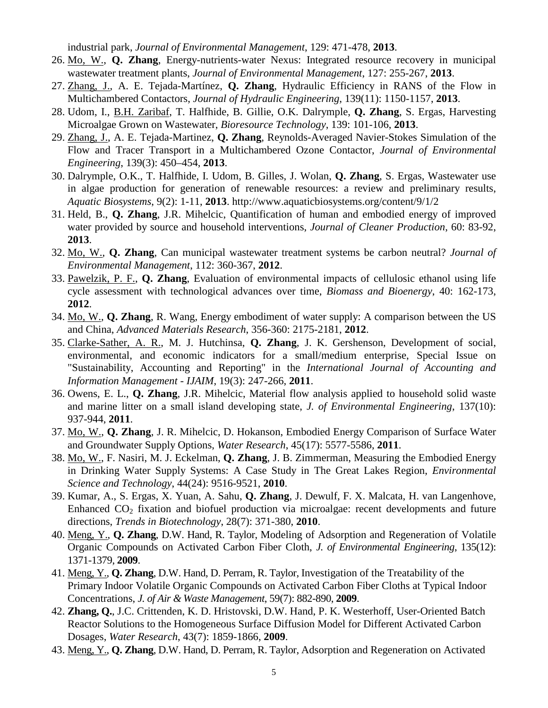industrial park, *Journal of Environmental Management*, 129: 471-478, **2013**.

- 26. Mo, W., **Q. Zhang**, Energy-nutrients-water Nexus: Integrated resource recovery in municipal wastewater treatment plants, *Journal of Environmental Management*, 127: 255-267, **2013**.
- 27. Zhang, J., A. E. Tejada-Martínez, **Q. Zhang**, Hydraulic Efficiency in RANS of the Flow in Multichambered Contactors, *Journal of Hydraulic Engineering*, 139(11): 1150-1157, **2013**.
- 28. Udom, I., B.H. Zaribaf, T. Halfhide, B. Gillie, O.K. Dalrymple, **Q. Zhang**, S. Ergas, Harvesting Microalgae Grown on Wastewater, *Bioresource Technology*, 139: 101-106, **2013**.
- 29. Zhang, J., A. E. Tejada-Martinez, **Q. Zhang**, Reynolds-Averaged Navier-Stokes Simulation of the Flow and Tracer Transport in a Multichambered Ozone Contactor, *Journal of Environmental Engineering*, 139(3): 450–454, **2013**.
- 30. Dalrymple, O.K., T. Halfhide, I. Udom, B. Gilles, J. Wolan, **Q. Zhang**, S. Ergas, Wastewater use in algae production for generation of renewable resources: a review and preliminary results, *Aquatic Biosystems*, 9(2): 1-11, **2013**. http://www.aquaticbiosystems.org/content/9/1/2
- 31. Held, B., **Q. Zhang**, J.R. Mihelcic, Quantification of human and embodied energy of improved water provided by source and household interventions, *Journal of Cleaner Production*, 60: 83-92, **2013**.
- 32. Mo, W., **Q. Zhang**, Can municipal wastewater treatment systems be carbon neutral? *Journal of Environmental Management*, 112: 360-367, **2012**.
- 33. Pawelzik, P. F., **Q. Zhang**, Evaluation of environmental impacts of cellulosic ethanol using life cycle assessment with technological advances over time, *Biomass and Bioenergy*, 40: 162-173, **2012**.
- 34. Mo, W., **Q. Zhang**, R. Wang, Energy embodiment of water supply: A comparison between the US and China, *Advanced Materials Research*, 356-360: 2175-2181, **2012**.
- 35. Clarke-Sather, A. R., M. J. Hutchinsa, **Q. Zhang**, J. K. Gershenson, Development of social, environmental, and economic indicators for a small/medium enterprise, Special Issue on "Sustainability, Accounting and Reporting" in the *International Journal of Accounting and Information Management - IJAIM*, 19(3): 247-266, **2011**.
- 36. Owens, E. L., **Q. Zhang**, J.R. Mihelcic, Material flow analysis applied to household solid waste and marine litter on a small island developing state, *J. of Environmental Engineering*, 137(10): 937-944, **2011**.
- 37. Mo, W., **Q. Zhang**, J. R. Mihelcic, D. Hokanson, Embodied Energy Comparison of Surface Water and Groundwater Supply Options, *Water Research*, 45(17): 5577-5586, **2011**.
- 38. Mo, W., F. Nasiri, M. J. Eckelman, **Q. Zhang**, J. B. Zimmerman, Measuring the Embodied Energy in Drinking Water Supply Systems: A Case Study in The Great Lakes Region, *Environmental Science and Technology*, 44(24): 9516-9521, **2010**.
- 39. Kumar, A., S. Ergas, X. Yuan, A. Sahu, **Q. Zhang**, J. Dewulf, F. X. Malcata, H. van Langenhove, Enhanced  $CO<sub>2</sub>$  fixation and biofuel production via microalgae: recent developments and future directions, *Trends in Biotechnology*, 28(7): 371-380, **2010**.
- 40. Meng, Y., **Q. Zhang**, D.W. Hand, R. Taylor, Modeling of Adsorption and Regeneration of Volatile Organic Compounds on Activated Carbon Fiber Cloth, *J. of Environmental Engineering*, 135(12): 1371-1379, **2009**.
- 41. Meng, Y., **Q. Zhang**, D.W. Hand, D. Perram, R. Taylor, Investigation of the Treatability of the Primary Indoor Volatile Organic Compounds on Activated Carbon Fiber Cloths at Typical Indoor Concentrations, *J. of Air & Waste Management*, 59(7): 882-890, **2009**.
- 42. **Zhang, Q.**, J.C. Crittenden, K. D. Hristovski, D.W. Hand, P. K. Westerhoff, User-Oriented Batch Reactor Solutions to the Homogeneous Surface Diffusion Model for Different Activated Carbon Dosages, *Water Research*, 43(7): 1859-1866, **2009**.
- 43. Meng, Y., **Q. Zhang**, D.W. Hand, D. Perram, R. Taylor, Adsorption and Regeneration on Activated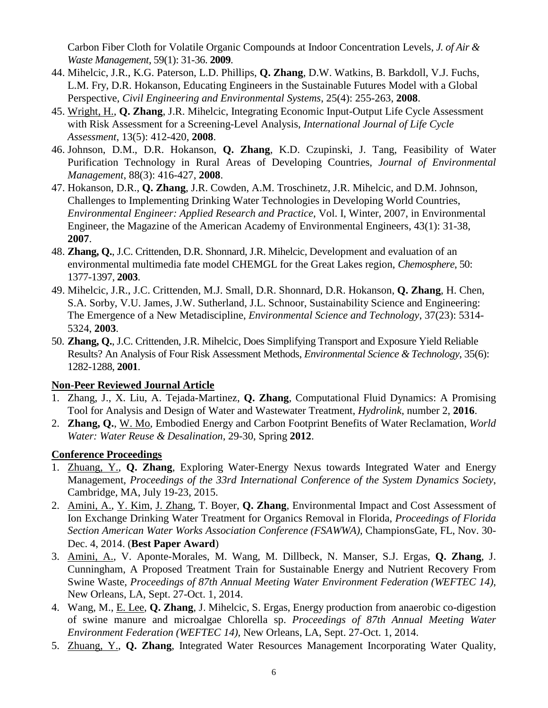Carbon Fiber Cloth for Volatile Organic Compounds at Indoor Concentration Levels, *J. of Air & Waste Management*, 59(1): 31-36. **2009**.

- 44. Mihelcic, J.R., K.G. Paterson, L.D. Phillips, **Q. Zhang**, D.W. Watkins, B. Barkdoll, V.J. Fuchs, L.M. Fry, D.R. Hokanson, Educating Engineers in the Sustainable Futures Model with a Global Perspective, *Civil Engineering and Environmental Systems*, 25(4): 255-263, **2008**.
- 45. Wright, H., **Q. Zhang**, J.R. Mihelcic, Integrating Economic Input-Output Life Cycle Assessment with Risk Assessment for a Screening-Level Analysis, *International Journal of Life Cycle Assessment*, 13(5): 412-420, **2008**.
- 46. Johnson, D.M., D.R. Hokanson, **Q. Zhang**, K.D. Czupinski, J. Tang, Feasibility of Water Purification Technology in Rural Areas of Developing Countries, *Journal of Environmental Management*, 88(3): 416-427, **2008**.
- 47. Hokanson, D.R., **Q. Zhang**, J.R. Cowden, A.M. Troschinetz, J.R. Mihelcic, and D.M. Johnson, Challenges to Implementing Drinking Water Technologies in Developing World Countries, *Environmental Engineer: Applied Research and Practice*, Vol. I, Winter, 2007, in Environmental Engineer, the Magazine of the American Academy of Environmental Engineers, 43(1): 31-38, **2007**.
- 48. **Zhang, Q.**, J.C. Crittenden, D.R. Shonnard, J.R. Mihelcic, Development and evaluation of an environmental multimedia fate model CHEMGL for the Great Lakes region, *Chemosphere*, 50: 1377-1397, **2003**.
- 49. Mihelcic, J.R., J.C. Crittenden, M.J. Small, D.R. Shonnard, D.R. Hokanson, **Q. Zhang**, H. Chen, S.A. Sorby, V.U. James, J.W. Sutherland, J.L. Schnoor, Sustainability Science and Engineering: The Emergence of a New Metadiscipline, *Environmental Science and Technology*, 37(23): 5314- 5324, **2003**.
- 50. **Zhang, Q.**, J.C. Crittenden, J.R. Mihelcic, Does Simplifying Transport and Exposure Yield Reliable Results? An Analysis of Four Risk Assessment Methods, *Environmental Science & Technology*, 35(6): 1282-1288, **2001**.

#### **Non-Peer Reviewed Journal Article**

- 1. Zhang, J., X. Liu, A. Tejada-Martinez, **Q. Zhang**, Computational Fluid Dynamics: A Promising Tool for Analysis and Design of Water and Wastewater Treatment, *Hydrolink*, number 2, **2016**.
- 2. **Zhang, Q.**, W. Mo, Embodied Energy and Carbon Footprint Benefits of Water Reclamation, *World Water: Water Reuse & Desalination*, 29-30, Spring **2012**.

## **Conference Proceedings**

- 1. Zhuang, Y., **Q. Zhang**, Exploring Water-Energy Nexus towards Integrated Water and Energy Management, *Proceedings of the 33rd International Conference of the System Dynamics Society*, Cambridge, MA, July 19-23, 2015.
- 2. Amini, A., Y. Kim, J. Zhang, T. Boyer, **Q. Zhang**, Environmental Impact and Cost Assessment of Ion Exchange Drinking Water Treatment for Organics Removal in Florida, *Proceedings of Florida Section American Water Works Association Conference (FSAWWA)*, ChampionsGate, FL, Nov. 30- Dec. 4, 2014. (**Best Paper Award**)
- 3. Amini, A., V. Aponte-Morales, M. Wang, M. Dillbeck, N. Manser, S.J. Ergas, **Q. Zhang**, J. Cunningham, A Proposed Treatment Train for Sustainable Energy and Nutrient Recovery From Swine Waste, *Proceedings of 87th Annual Meeting Water Environment Federation (WEFTEC 14)*, New Orleans, LA, Sept. 27-Oct. 1, 2014.
- 4. Wang, M., E. Lee, **Q. Zhang**, J. Mihelcic, S. Ergas, Energy production from anaerobic co-digestion of swine manure and microalgae Chlorella sp. *Proceedings of 87th Annual Meeting Water Environment Federation (WEFTEC 14)*, New Orleans, LA, Sept. 27-Oct. 1, 2014.
- 5. Zhuang, Y., **Q. Zhang**, Integrated Water Resources Management Incorporating Water Quality,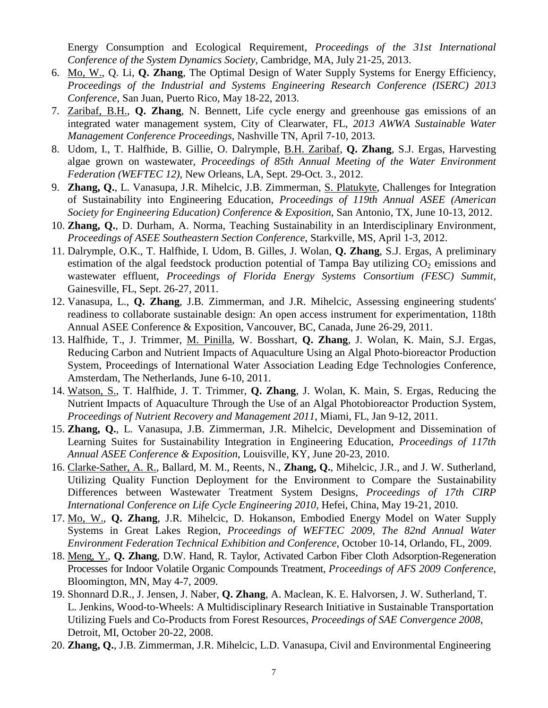Energy Consumption and Ecological Requirement, *Proceedings of the 31st International Conference of the System Dynamics Society*, Cambridge, MA, July 21-25, 2013.

- 6. Mo, W., Q. Li, **Q. Zhang**, The Optimal Design of Water Supply Systems for Energy Efficiency, *Proceedings of the Industrial and Systems Engineering Research Conference (ISERC) 2013 Conference*, San Juan, Puerto Rico, May 18-22, 2013.
- 7. Zaribaf, B.H., **Q. Zhang**, N. Bennett, Life cycle energy and greenhouse gas emissions of an integrated water management system, City of Clearwater, FL, *2013 AWWA Sustainable Water Management Conference Proceedings*, Nashville TN, April 7-10, 2013.
- 8. Udom, I., T. Halfhide, B. Gillie, O. Dalrymple, B.H. Zaribaf, **Q. Zhang**, S.J. Ergas, Harvesting algae grown on wastewater, *Proceedings of 85th Annual Meeting of the Water Environment Federation (WEFTEC 12)*, New Orleans, LA, Sept. 29-Oct. 3., 2012.
- 9. **Zhang, Q.**, L. Vanasupa, J.R. Mihelcic, J.B. Zimmerman, S. Platukyte, Challenges for Integration of Sustainability into Engineering Education, *Proceedings of 119th Annual ASEE (American Society for Engineering Education) Conference & Exposition*, San Antonio, TX, June 10-13, 2012.
- 10. **Zhang, Q.**, D. Durham, A. Norma, Teaching Sustainability in an Interdisciplinary Environment, *Proceedings of ASEE Southeastern Section Conference*, Starkville, MS, April 1-3, 2012.
- 11. Dalrymple, O.K., T. Halfhide, I. Udom, B. Gilles, J. Wolan, **Q. Zhang**, S.J. Ergas, A preliminary estimation of the algal feedstock production potential of Tampa Bay utilizing  $CO<sub>2</sub>$  emissions and wastewater effluent, *Proceedings of Florida Energy Systems Consortium (FESC) Summit*, Gainesville, FL, Sept. 26-27, 2011.
- 12. Vanasupa, L., **Q. Zhang**, J.B. Zimmerman, and J.R. Mihelcic, Assessing engineering students' readiness to collaborate sustainable design: An open access instrument for experimentation, 118th Annual ASEE Conference & Exposition, Vancouver, BC, Canada, June 26-29, 2011.
- 13. Halfhide, T., J. Trimmer, M. Pinilla, W. Bosshart, **Q. Zhang**, J. Wolan, K. Main, S.J. Ergas, Reducing Carbon and Nutrient Impacts of Aquaculture Using an Algal Photo-bioreactor Production System, Proceedings of International Water Association Leading Edge Technologies Conference, Amsterdam, The Netherlands, June 6-10, 2011.
- 14. Watson, S., T. Halfhide, J. T. Trimmer, **Q. Zhang**, J. Wolan, K. Main, S. Ergas, Reducing the Nutrient Impacts of Aquaculture Through the Use of an Algal Photobioreactor Production System, *Proceedings of Nutrient Recovery and Management 2011*, Miami, FL, Jan 9-12, 2011.
- 15. **Zhang, Q.**, L. Vanasupa, J.B. Zimmerman, J.R. Mihelcic, Development and Dissemination of Learning Suites for Sustainability Integration in Engineering Education, *Proceedings of 117th Annual ASEE Conference & Exposition*, Louisville, KY, June 20-23, 2010.
- 16. Clarke-Sather, A. R., Ballard, M. M., Reents, N., **Zhang, Q.**, Mihelcic, J.R., and J. W. Sutherland, Utilizing Quality Function Deployment for the Environment to Compare the Sustainability Differences between Wastewater Treatment System Designs, *Proceedings of 17th CIRP International Conference on Life Cycle Engineering 2010*, Hefei, China, May 19-21, 2010.
- 17. Mo, W., **Q. Zhang**, J.R. Mihelcic, D. Hokanson, Embodied Energy Model on Water Supply Systems in Great Lakes Region, *Proceedings of WEFTEC 2009, The 82nd Annual Water Environment Federation Technical Exhibition and Conference*, October 10-14, Orlando, FL, 2009.
- 18. Meng, Y., **Q. Zhang**, D.W. Hand, R. Taylor, Activated Carbon Fiber Cloth Adsorption-Regeneration Processes for Indoor Volatile Organic Compounds Treatment, *Proceedings of AFS 2009 Conference*, Bloomington, MN, May 4-7, 2009.
- 19. Shonnard D.R., J. Jensen, J. Naber, **Q. Zhang**, A. Maclean, K. E. Halvorsen, J. W. Sutherland, T. L. Jenkins, Wood-to-Wheels: A Multidisciplinary Research Initiative in Sustainable Transportation Utilizing Fuels and Co-Products from Forest Resources, *Proceedings of SAE Convergence 2008*, Detroit, MI, October 20-22, 2008.
- 20. **Zhang, Q.**, J.B. Zimmerman, J.R. Mihelcic, L.D. Vanasupa, Civil and Environmental Engineering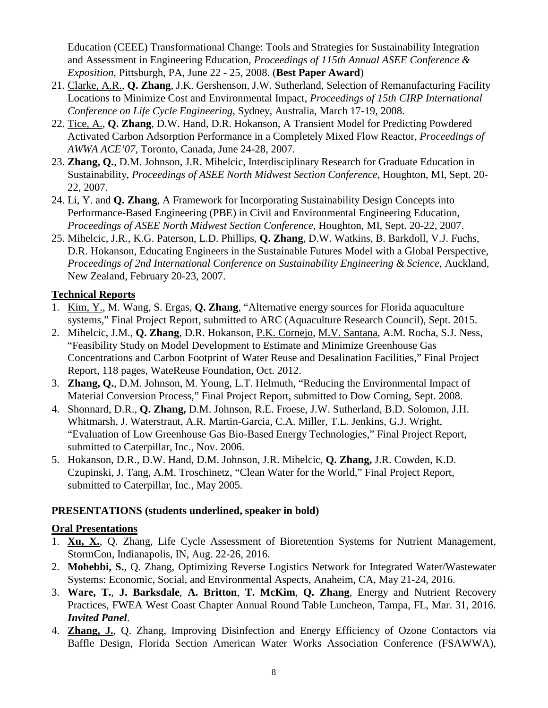Education (CEEE) Transformational Change: Tools and Strategies for Sustainability Integration and Assessment in Engineering Education, *Proceedings of 115th Annual ASEE Conference & Exposition*, Pittsburgh, PA, June 22 - 25, 2008. (**Best Paper Award**)

- 21. Clarke, A.R., **Q. Zhang**, J.K. Gershenson, J.W. Sutherland, Selection of Remanufacturing Facility Locations to Minimize Cost and Environmental Impact, *Proceedings of 15th CIRP International Conference on Life Cycle Engineering*, Sydney, Australia, March 17-19, 2008.
- 22. Tice, A., **Q. Zhang**, D.W. Hand, D.R. Hokanson, A Transient Model for Predicting Powdered Activated Carbon Adsorption Performance in a Completely Mixed Flow Reactor, *Proceedings of AWWA ACE'07*, Toronto, Canada, June 24-28, 2007.
- 23. **Zhang, Q.**, D.M. Johnson, J.R. Mihelcic, Interdisciplinary Research for Graduate Education in Sustainability, *Proceedings of ASEE North Midwest Section Conference*, Houghton, MI, Sept. 20- 22, 2007.
- 24. Li, Y. and **Q. Zhang**, A Framework for Incorporating Sustainability Design Concepts into Performance-Based Engineering (PBE) in Civil and Environmental Engineering Education, *Proceedings of ASEE North Midwest Section Conference*, Houghton, MI, Sept. 20-22, 2007.
- 25. Mihelcic, J.R., K.G. Paterson, L.D. Phillips, **Q. Zhang**, D.W. Watkins, B. Barkdoll, V.J. Fuchs, D.R. Hokanson, Educating Engineers in the Sustainable Futures Model with a Global Perspective, *Proceedings of 2nd International Conference on Sustainability Engineering & Science*, Auckland, New Zealand, February 20-23, 2007.

## **Technical Reports**

- 1. Kim, Y., M. Wang, S. Ergas, **Q. Zhang**, "Alternative energy sources for Florida aquaculture systems," Final Project Report, submitted to ARC (Aquaculture Research Council), Sept. 2015.
- 2. Mihelcic, J.M., **Q. Zhang**, D.R. Hokanson, P.K. Cornejo, M.V. Santana, A.M. Rocha, S.J. Ness, "Feasibility Study on Model Development to Estimate and Minimize Greenhouse Gas Concentrations and Carbon Footprint of Water Reuse and Desalination Facilities," Final Project Report, 118 pages, WateReuse Foundation, Oct. 2012.
- 3. **Zhang, Q.**, D.M. Johnson, M. Young, L.T. Helmuth, "Reducing the Environmental Impact of Material Conversion Process," Final Project Report, submitted to Dow Corning, Sept. 2008.
- 4. Shonnard, D.R., **Q. Zhang,** D.M. Johnson, R.E. Froese, J.W. Sutherland, B.D. Solomon, J.H. Whitmarsh, J. Waterstraut, A.R. Martin-Garcia, C.A. Miller, T.L. Jenkins, G.J. Wright, "Evaluation of Low Greenhouse Gas Bio-Based Energy Technologies," Final Project Report, submitted to Caterpillar, Inc., Nov. 2006.
- 5. Hokanson, D.R., D.W. Hand, D.M. Johnson, J.R. Mihelcic, **Q. Zhang,** J.R. Cowden, K.D. Czupinski, J. Tang, A.M. Troschinetz, "Clean Water for the World," Final Project Report, submitted to Caterpillar, Inc., May 2005.

#### **PRESENTATIONS (students underlined, speaker in bold)**

#### **Oral Presentations**

- 1. **Xu, X.**, Q. Zhang, Life Cycle Assessment of Bioretention Systems for Nutrient Management, StormCon, Indianapolis, IN, Aug. 22-26, 2016.
- 2. **Mohebbi, S.**, Q. Zhang, Optimizing Reverse Logistics Network for Integrated Water/Wastewater Systems: Economic, Social, and Environmental Aspects, Anaheim, CA, May 21-24, 2016.
- 3. **Ware, T.**, **J. Barksdale**, **A. Britton**, **T. McKim**, **Q. Zhang**, Energy and Nutrient Recovery Practices, FWEA West Coast Chapter Annual Round Table Luncheon, Tampa, FL, Mar. 31, 2016. *Invited Panel*.
- 4. **Zhang, J.**, Q. Zhang, Improving Disinfection and Energy Efficiency of Ozone Contactors via Baffle Design, Florida Section American Water Works Association Conference (FSAWWA),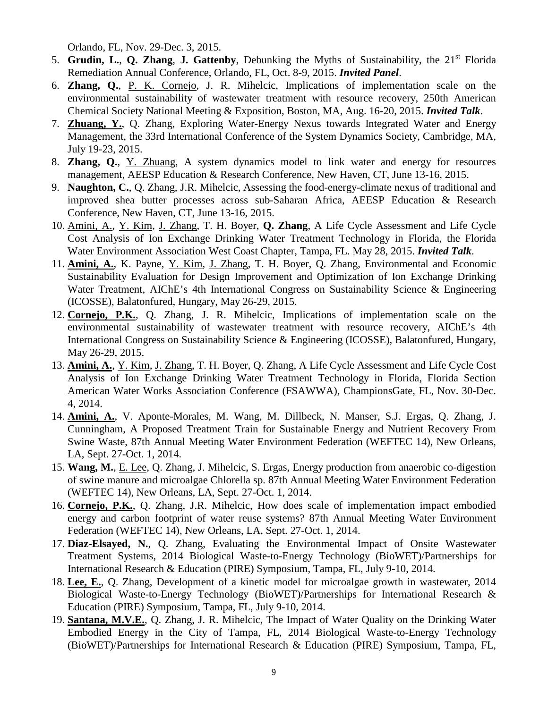Orlando, FL, Nov. 29-Dec. 3, 2015.

- 5. **Grudin, L.**, **Q. Zhang**, **J. Gattenby**, Debunking the Myths of Sustainability, the 21st Florida Remediation Annual Conference, Orlando, FL, Oct. 8-9, 2015. *Invited Panel*.
- 6. **Zhang, Q.**, P. K. Cornejo, J. R. Mihelcic, Implications of implementation scale on the environmental sustainability of wastewater treatment with resource recovery, 250th American Chemical Society National Meeting & Exposition, Boston, MA, Aug. 16-20, 2015. *Invited Talk*.
- 7. **Zhuang, Y.**, Q. Zhang, Exploring Water-Energy Nexus towards Integrated Water and Energy Management, the 33rd International Conference of the System Dynamics Society, Cambridge, MA, July 19-23, 2015.
- 8. **Zhang, Q.**, Y. Zhuang, A system dynamics model to link water and energy for resources management, AEESP Education & Research Conference, New Haven, CT, June 13-16, 2015.
- 9. **Naughton, C.**, Q. Zhang, J.R. Mihelcic, Assessing the food-energy-climate nexus of traditional and improved shea butter processes across sub-Saharan Africa, AEESP Education & Research Conference, New Haven, CT, June 13-16, 2015.
- 10. Amini, A., Y. Kim, J. Zhang, T. H. Boyer, **Q. Zhang**, A Life Cycle Assessment and Life Cycle Cost Analysis of Ion Exchange Drinking Water Treatment Technology in Florida, the Florida Water Environment Association West Coast Chapter, Tampa, FL. May 28, 2015. *Invited Talk*.
- 11. **Amini, A.**, K. Payne, Y. Kim, J. Zhang, T. H. Boyer, Q. Zhang, Environmental and Economic Sustainability Evaluation for Design Improvement and Optimization of Ion Exchange Drinking Water Treatment, AIChE's 4th International Congress on Sustainability Science & Engineering (ICOSSE), Balatonfured, Hungary, May 26-29, 2015.
- 12. **Cornejo, P.K.**, Q. Zhang, J. R. Mihelcic, Implications of implementation scale on the environmental sustainability of wastewater treatment with resource recovery, AIChE's 4th International Congress on Sustainability Science & Engineering (ICOSSE), Balatonfured, Hungary, May 26-29, 2015.
- 13. **Amini, A.**, Y. Kim, J. Zhang, T. H. Boyer, Q. Zhang, A Life Cycle Assessment and Life Cycle Cost Analysis of Ion Exchange Drinking Water Treatment Technology in Florida, Florida Section American Water Works Association Conference (FSAWWA), ChampionsGate, FL, Nov. 30-Dec. 4, 2014.
- 14. **Amini, A.**, V. Aponte-Morales, M. Wang, M. Dillbeck, N. Manser, S.J. Ergas, Q. Zhang, J. Cunningham, A Proposed Treatment Train for Sustainable Energy and Nutrient Recovery From Swine Waste, 87th Annual Meeting Water Environment Federation (WEFTEC 14), New Orleans, LA, Sept. 27-Oct. 1, 2014.
- 15. **Wang, M.**, E. Lee, Q. Zhang, J. Mihelcic, S. Ergas, Energy production from anaerobic co-digestion of swine manure and microalgae Chlorella sp. 87th Annual Meeting Water Environment Federation (WEFTEC 14), New Orleans, LA, Sept. 27-Oct. 1, 2014.
- 16. **Cornejo, P.K.**, Q. Zhang, J.R. Mihelcic, How does scale of implementation impact embodied energy and carbon footprint of water reuse systems? 87th Annual Meeting Water Environment Federation (WEFTEC 14), New Orleans, LA, Sept. 27-Oct. 1, 2014.
- 17. **Diaz-Elsayed, N.**, Q. Zhang, Evaluating the Environmental Impact of Onsite Wastewater Treatment Systems, 2014 Biological Waste-to-Energy Technology (BioWET)/Partnerships for International Research & Education (PIRE) Symposium, Tampa, FL, July 9-10, 2014.
- 18. **Lee, E.**, Q. Zhang, Development of a kinetic model for microalgae growth in wastewater, 2014 Biological Waste-to-Energy Technology (BioWET)/Partnerships for International Research & Education (PIRE) Symposium, Tampa, FL, July 9-10, 2014.
- 19. **Santana, M.V.E.**, Q. Zhang, J. R. Mihelcic, The Impact of Water Quality on the Drinking Water Embodied Energy in the City of Tampa, FL, 2014 Biological Waste-to-Energy Technology (BioWET)/Partnerships for International Research & Education (PIRE) Symposium, Tampa, FL,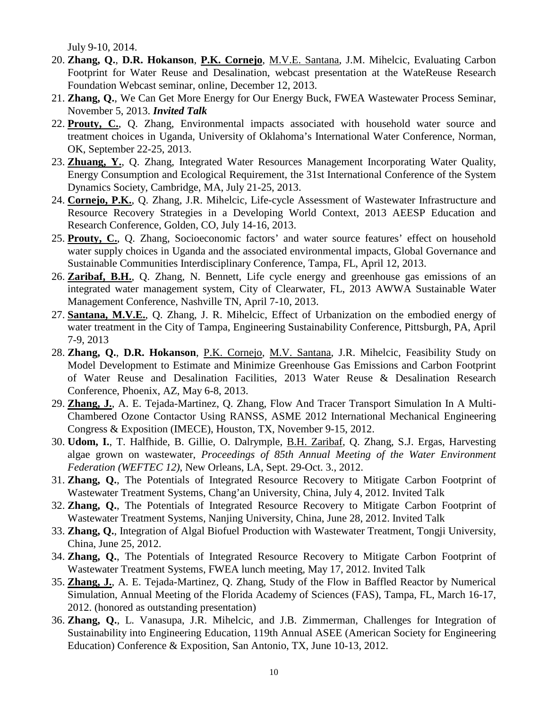July 9-10, 2014.

- 20. **Zhang, Q.**, **D.R. Hokanson**, **P.K. Cornejo**, M.V.E. Santana, J.M. Mihelcic, Evaluating Carbon Footprint for Water Reuse and Desalination, webcast presentation at the WateReuse Research Foundation Webcast seminar, online, December 12, 2013.
- 21. **Zhang, Q.**, We Can Get More Energy for Our Energy Buck, FWEA Wastewater Process Seminar, November 5, 2013. *Invited Talk*
- 22. **Prouty, C.**, Q. Zhang, Environmental impacts associated with household water source and treatment choices in Uganda, University of Oklahoma's International Water Conference, Norman, OK, September 22-25, 2013.
- 23. **Zhuang, Y.**, Q. Zhang, Integrated Water Resources Management Incorporating Water Quality, Energy Consumption and Ecological Requirement, the 31st International Conference of the System Dynamics Society, Cambridge, MA, July 21-25, 2013.
- 24. **Cornejo, P.K.**, Q. Zhang, J.R. Mihelcic, Life-cycle Assessment of Wastewater Infrastructure and Resource Recovery Strategies in a Developing World Context, 2013 AEESP Education and Research Conference, Golden, CO, July 14-16, 2013.
- 25. **Prouty, C.**, Q. Zhang, Socioeconomic factors' and water source features' effect on household water supply choices in Uganda and the associated environmental impacts, Global Governance and Sustainable Communities Interdisciplinary Conference, Tampa, FL, April 12, 2013.
- 26. **Zaribaf, B.H.**, Q. Zhang, N. Bennett, Life cycle energy and greenhouse gas emissions of an integrated water management system, City of Clearwater, FL, 2013 AWWA Sustainable Water Management Conference, Nashville TN, April 7-10, 2013.
- 27. **Santana, M.V.E.**, Q. Zhang, J. R. Mihelcic, Effect of Urbanization on the embodied energy of water treatment in the City of Tampa, Engineering Sustainability Conference, Pittsburgh, PA, April 7-9, 2013
- 28. **Zhang, Q.**, **D.R. Hokanson**, P.K. Cornejo, M.V. Santana, J.R. Mihelcic, Feasibility Study on Model Development to Estimate and Minimize Greenhouse Gas Emissions and Carbon Footprint of Water Reuse and Desalination Facilities, 2013 Water Reuse & Desalination Research Conference, Phoenix, AZ, May 6-8, 2013.
- 29. **Zhang, J.**, A. E. Tejada-Martinez, Q. Zhang, Flow And Tracer Transport Simulation In A Multi-Chambered Ozone Contactor Using RANSS, ASME 2012 International Mechanical Engineering Congress & Exposition (IMECE), Houston, TX, November 9-15, 2012.
- 30. **Udom, I.**, T. Halfhide, B. Gillie, O. Dalrymple, B.H. Zaribaf, Q. Zhang, S.J. Ergas, Harvesting algae grown on wastewater, *Proceedings of 85th Annual Meeting of the Water Environment Federation (WEFTEC 12)*, New Orleans, LA, Sept. 29-Oct. 3., 2012.
- 31. **Zhang, Q.**, The Potentials of Integrated Resource Recovery to Mitigate Carbon Footprint of Wastewater Treatment Systems, Chang'an University, China, July 4, 2012. Invited Talk
- 32. **Zhang, Q.**, The Potentials of Integrated Resource Recovery to Mitigate Carbon Footprint of Wastewater Treatment Systems, Nanjing University, China, June 28, 2012. Invited Talk
- 33. **Zhang, Q.**, Integration of Algal Biofuel Production with Wastewater Treatment, Tongji University, China, June 25, 2012.
- 34. **Zhang, Q.**, The Potentials of Integrated Resource Recovery to Mitigate Carbon Footprint of Wastewater Treatment Systems, FWEA lunch meeting, May 17, 2012. Invited Talk
- 35. **Zhang, J.**, A. E. Tejada-Martinez, Q. Zhang, Study of the Flow in Baffled Reactor by Numerical Simulation, Annual Meeting of the Florida Academy of Sciences (FAS), Tampa, FL, March 16-17, 2012. (honored as outstanding presentation)
- 36. **Zhang, Q.**, L. Vanasupa, J.R. Mihelcic, and J.B. Zimmerman, Challenges for Integration of Sustainability into Engineering Education, 119th Annual ASEE (American Society for Engineering Education) Conference & Exposition, San Antonio, TX, June 10-13, 2012.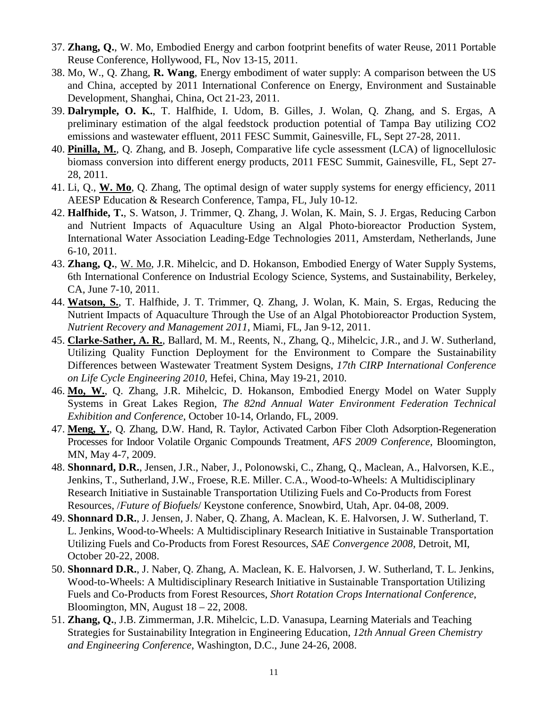- 37. **Zhang, Q.**, W. Mo, Embodied Energy and carbon footprint benefits of water Reuse, 2011 Portable Reuse Conference, Hollywood, FL, Nov 13-15, 2011.
- 38. Mo, W., Q. Zhang, **R. Wang**, Energy embodiment of water supply: A comparison between the US and China, accepted by 2011 International Conference on Energy, Environment and Sustainable Development, Shanghai, China, Oct 21-23, 2011.
- 39. **Dalrymple, O. K.**, T. Halfhide, I. Udom, B. Gilles, J. Wolan, Q. Zhang, and S. Ergas, A preliminary estimation of the algal feedstock production potential of Tampa Bay utilizing CO2 emissions and wastewater effluent, 2011 FESC Summit, Gainesville, FL, Sept 27-28, 2011.
- 40. **Pinilla, M.**, Q. Zhang, and B. Joseph, Comparative life cycle assessment (LCA) of lignocellulosic biomass conversion into different energy products, 2011 FESC Summit, Gainesville, FL, Sept 27- 28, 2011.
- 41. Li, Q., **W. Mo**, Q. Zhang, The optimal design of water supply systems for energy efficiency, 2011 AEESP Education & Research Conference, Tampa, FL, July 10-12.
- 42. **Halfhide, T.**, S. Watson, J. Trimmer, Q. Zhang, J. Wolan, K. Main, S. J. Ergas, Reducing Carbon and Nutrient Impacts of Aquaculture Using an Algal Photo-bioreactor Production System, International Water Association Leading-Edge Technologies 2011, Amsterdam, Netherlands, June 6-10, 2011.
- 43. **Zhang, Q.**, W. Mo, J.R. Mihelcic, and D. Hokanson, Embodied Energy of Water Supply Systems, 6th International Conference on Industrial Ecology Science, Systems, and Sustainability, Berkeley, CA, June 7-10, 2011.
- 44. **Watson, S.**, T. Halfhide, J. T. Trimmer, Q. Zhang, J. Wolan, K. Main, S. Ergas, Reducing the Nutrient Impacts of Aquaculture Through the Use of an Algal Photobioreactor Production System, *Nutrient Recovery and Management 2011*, Miami, FL, Jan 9-12, 2011.
- 45. **Clarke-Sather, A. R.**, Ballard, M. M., Reents, N., Zhang, Q., Mihelcic, J.R., and J. W. Sutherland, Utilizing Quality Function Deployment for the Environment to Compare the Sustainability Differences between Wastewater Treatment System Designs, *17th CIRP International Conference on Life Cycle Engineering 2010*, Hefei, China, May 19-21, 2010.
- 46. **Mo, W.**, Q. Zhang, J.R. Mihelcic, D. Hokanson, Embodied Energy Model on Water Supply Systems in Great Lakes Region, *The 82nd Annual Water Environment Federation Technical Exhibition and Conference*, October 10-14, Orlando, FL, 2009.
- 47. **Meng, Y.**, Q. Zhang, D.W. Hand, R. Taylor, Activated Carbon Fiber Cloth Adsorption-Regeneration Processes for Indoor Volatile Organic Compounds Treatment, *AFS 2009 Conference*, Bloomington, MN, May 4-7, 2009.
- 48. **Shonnard, D.R.**, Jensen, J.R., Naber, J., Polonowski, C., Zhang, Q., Maclean, A., Halvorsen, K.E., Jenkins, T., Sutherland, J.W., Froese, R.E. Miller. C.A., Wood-to-Wheels: A Multidisciplinary Research Initiative in Sustainable Transportation Utilizing Fuels and Co-Products from Forest Resources, /*Future of Biofuels*/ Keystone conference, Snowbird, Utah, Apr. 04-08, 2009.
- 49. **Shonnard D.R.**, J. Jensen, J. Naber, Q. Zhang, A. Maclean, K. E. Halvorsen, J. W. Sutherland, T. L. Jenkins, Wood-to-Wheels: A Multidisciplinary Research Initiative in Sustainable Transportation Utilizing Fuels and Co-Products from Forest Resources, *SAE Convergence 2008*, Detroit, MI, October 20-22, 2008.
- 50. **Shonnard D.R.**, J. Naber, Q. Zhang, A. Maclean, K. E. Halvorsen, J. W. Sutherland, T. L. Jenkins, Wood-to-Wheels: A Multidisciplinary Research Initiative in Sustainable Transportation Utilizing Fuels and Co-Products from Forest Resources, *Short Rotation Crops International Conference*, Bloomington, MN, August  $18 - 22$ , 2008.
- 51. **Zhang, Q.**, J.B. Zimmerman, J.R. Mihelcic, L.D. Vanasupa, Learning Materials and Teaching Strategies for Sustainability Integration in Engineering Education, *12th Annual Green Chemistry and Engineering Conference*, Washington, D.C., June 24-26, 2008.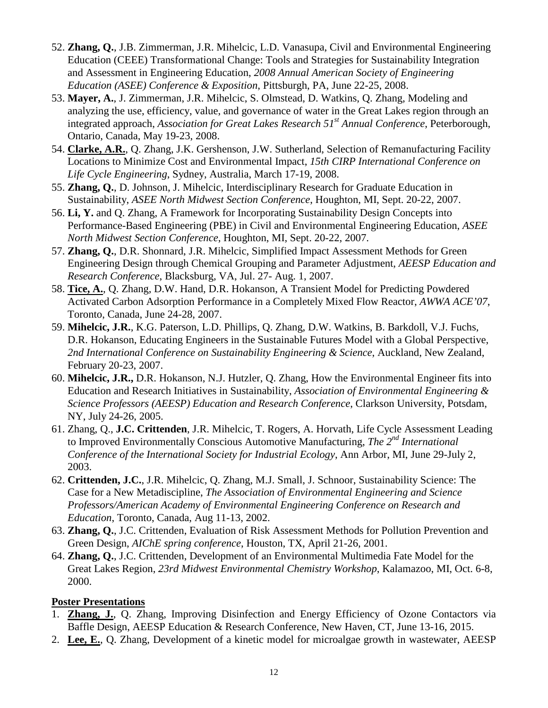- 52. **Zhang, Q.**, J.B. Zimmerman, J.R. Mihelcic, L.D. Vanasupa, Civil and Environmental Engineering Education (CEEE) Transformational Change: Tools and Strategies for Sustainability Integration and Assessment in Engineering Education, *2008 Annual American Society of Engineering Education (ASEE) Conference & Exposition*, Pittsburgh, PA, June 22-25, 2008.
- 53. **Mayer, A.**, J. Zimmerman, J.R. Mihelcic, S. Olmstead, D. Watkins, Q. Zhang, Modeling and analyzing the use, efficiency, value, and governance of water in the Great Lakes region through an integrated approach, *Association for Great Lakes Research 51st Annual Conference*, Peterborough, Ontario, Canada, May 19-23, 2008.
- 54. **Clarke, A.R.**, Q. Zhang, J.K. Gershenson, J.W. Sutherland, Selection of Remanufacturing Facility Locations to Minimize Cost and Environmental Impact, *15th CIRP International Conference on Life Cycle Engineering*, Sydney, Australia, March 17-19, 2008.
- 55. **Zhang, Q.**, D. Johnson, J. Mihelcic, Interdisciplinary Research for Graduate Education in Sustainability, *ASEE North Midwest Section Conference*, Houghton, MI, Sept. 20-22, 2007.
- 56. **Li, Y.** and Q. Zhang, A Framework for Incorporating Sustainability Design Concepts into Performance-Based Engineering (PBE) in Civil and Environmental Engineering Education, *ASEE North Midwest Section Conference*, Houghton, MI, Sept. 20-22, 2007.
- 57. **Zhang, Q.**, D.R. Shonnard, J.R. Mihelcic, Simplified Impact Assessment Methods for Green Engineering Design through Chemical Grouping and Parameter Adjustment, *AEESP Education and Research Conference*, Blacksburg, VA, Jul. 27- Aug. 1, 2007.
- 58. **Tice, A.**, Q. Zhang, D.W. Hand, D.R. Hokanson, A Transient Model for Predicting Powdered Activated Carbon Adsorption Performance in a Completely Mixed Flow Reactor, *AWWA ACE'07*, Toronto, Canada, June 24-28, 2007.
- 59. **Mihelcic, J.R.**, K.G. Paterson, L.D. Phillips, Q. Zhang, D.W. Watkins, B. Barkdoll, V.J. Fuchs, D.R. Hokanson, Educating Engineers in the Sustainable Futures Model with a Global Perspective, *2nd International Conference on Sustainability Engineering & Science*, Auckland, New Zealand, February 20-23, 2007.
- 60. **Mihelcic, J.R.,** D.R. Hokanson, N.J. Hutzler, Q. Zhang, How the Environmental Engineer fits into Education and Research Initiatives in Sustainability, *Association of Environmental Engineering & Science Professors (AEESP) Education and Research Conference*, Clarkson University, Potsdam, NY, July 24-26, 2005.
- 61. Zhang, Q., **J.C. Crittenden**, J.R. Mihelcic, T. Rogers, A. Horvath, Life Cycle Assessment Leading to Improved Environmentally Conscious Automotive Manufacturing, *The 2nd International Conference of the International Society for Industrial Ecology*, Ann Arbor, MI, June 29-July 2, 2003.
- 62. **Crittenden, J.C.**, J.R. Mihelcic, Q. Zhang, M.J. Small, J. Schnoor, Sustainability Science: The Case for a New Metadiscipline, *The Association of Environmental Engineering and Science Professors/American Academy of Environmental Engineering Conference on Research and Education*, Toronto, Canada, Aug 11-13, 2002.
- 63. **Zhang, Q.**, J.C. Crittenden, Evaluation of Risk Assessment Methods for Pollution Prevention and Green Design, *AIChE spring conference*, Houston, TX, April 21-26, 2001.
- 64. **Zhang, Q.**, J.C. Crittenden, Development of an Environmental Multimedia Fate Model for the Great Lakes Region, *23rd Midwest Environmental Chemistry Workshop*, Kalamazoo, MI, Oct. 6-8, 2000.

## **Poster Presentations**

- 1. **Zhang, J.**, Q. Zhang, Improving Disinfection and Energy Efficiency of Ozone Contactors via Baffle Design, AEESP Education & Research Conference, New Haven, CT, June 13-16, 2015.
- 2. **Lee, E.**, Q. Zhang, Development of a kinetic model for microalgae growth in wastewater, AEESP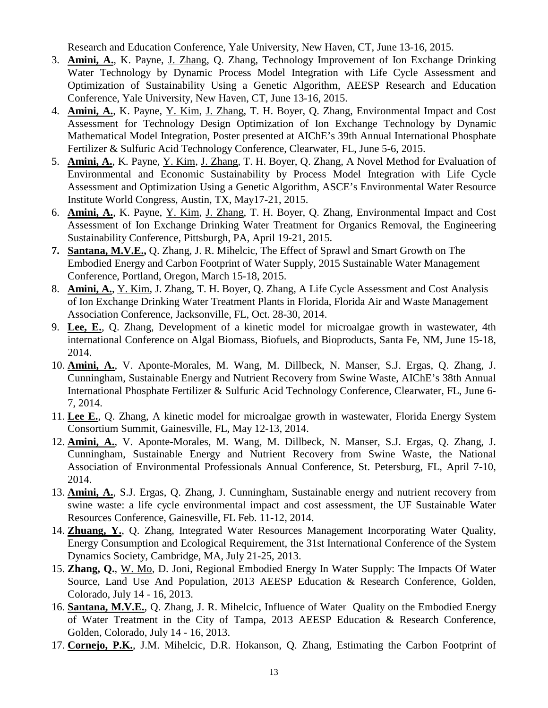Research and Education Conference, Yale University, New Haven, CT, June 13-16, 2015.

- 3. **Amini, A.**, K. Payne, J. Zhang, Q. Zhang, Technology Improvement of Ion Exchange Drinking Water Technology by Dynamic Process Model Integration with Life Cycle Assessment and Optimization of Sustainability Using a Genetic Algorithm, AEESP Research and Education Conference, Yale University, New Haven, CT, June 13-16, 2015.
- 4. **Amini, A.**, K. Payne, Y. Kim, J. Zhang, T. H. Boyer, Q. Zhang, Environmental Impact and Cost Assessment for Technology Design Optimization of Ion Exchange Technology by Dynamic Mathematical Model Integration, Poster presented at AIChE's 39th Annual International Phosphate Fertilizer & Sulfuric Acid Technology Conference, Clearwater, FL, June 5-6, 2015.
- 5. **Amini, A.**, K. Payne, Y. Kim, J. Zhang, T. H. Boyer, Q. Zhang, A Novel Method for Evaluation of Environmental and Economic Sustainability by Process Model Integration with Life Cycle Assessment and Optimization Using a Genetic Algorithm, ASCE's Environmental Water Resource Institute World Congress, Austin, TX, May17-21, 2015.
- 6. **Amini, A.**, K. Payne, Y. Kim, J. Zhang, T. H. Boyer, Q. Zhang, Environmental Impact and Cost Assessment of Ion Exchange Drinking Water Treatment for Organics Removal, the Engineering Sustainability Conference, Pittsburgh, PA, April 19-21, 2015.
- **7. Santana, M.V.E.,** Q. Zhang, J. R. Mihelcic, The Effect of Sprawl and Smart Growth on The Embodied Energy and Carbon Footprint of Water Supply, 2015 Sustainable Water Management Conference, Portland, Oregon, March 15-18, 2015.
- 8. **Amini, A.**, Y. Kim, J. Zhang, T. H. Boyer, Q. Zhang, A Life Cycle Assessment and Cost Analysis of Ion Exchange Drinking Water Treatment Plants in Florida, Florida Air and Waste Management Association Conference, Jacksonville, FL, Oct. 28-30, 2014.
- 9. **Lee, E.**, Q. Zhang, Development of a kinetic model for microalgae growth in wastewater, 4th international Conference on Algal Biomass, Biofuels, and Bioproducts, Santa Fe, NM, June 15-18, 2014.
- 10. **Amini, A.**, V. Aponte-Morales, M. Wang, M. Dillbeck, N. Manser, S.J. Ergas, Q. Zhang, J. Cunningham, Sustainable Energy and Nutrient Recovery from Swine Waste, AIChE's 38th Annual International Phosphate Fertilizer & Sulfuric Acid Technology Conference, Clearwater, FL, June 6- 7, 2014.
- 11. **Lee E.**, Q. Zhang, A kinetic model for microalgae growth in wastewater, Florida Energy System Consortium Summit, Gainesville, FL, May 12-13, 2014.
- 12. **Amini, A.**, V. Aponte-Morales, M. Wang, M. Dillbeck, N. Manser, S.J. Ergas, Q. Zhang, J. Cunningham, Sustainable Energy and Nutrient Recovery from Swine Waste, the National Association of Environmental Professionals Annual Conference, St. Petersburg, FL, April 7-10, 2014.
- 13. **Amini, A.**, S.J. Ergas, Q. Zhang, J. Cunningham, Sustainable energy and nutrient recovery from swine waste: a life cycle environmental impact and cost assessment, the UF Sustainable Water Resources Conference, Gainesville, FL Feb. 11-12, 2014.
- 14. **Zhuang, Y.**, Q. Zhang, Integrated Water Resources Management Incorporating Water Quality, Energy Consumption and Ecological Requirement, the 31st International Conference of the System Dynamics Society, Cambridge, MA, July 21-25, 2013.
- 15. **Zhang, Q.**, W. Mo, D. Joni, Regional Embodied Energy In Water Supply: The Impacts Of Water Source, Land Use And Population, 2013 AEESP Education & Research Conference, Golden, Colorado, July 14 - 16, 2013.
- 16. **Santana, M.V.E.**, Q. Zhang, J. R. Mihelcic, Influence of Water Quality on the Embodied Energy of Water Treatment in the City of Tampa, 2013 AEESP Education & Research Conference, Golden, Colorado, July 14 - 16, 2013.
- 17. **Cornejo, P.K.**, J.M. Mihelcic, D.R. Hokanson, Q. Zhang, Estimating the Carbon Footprint of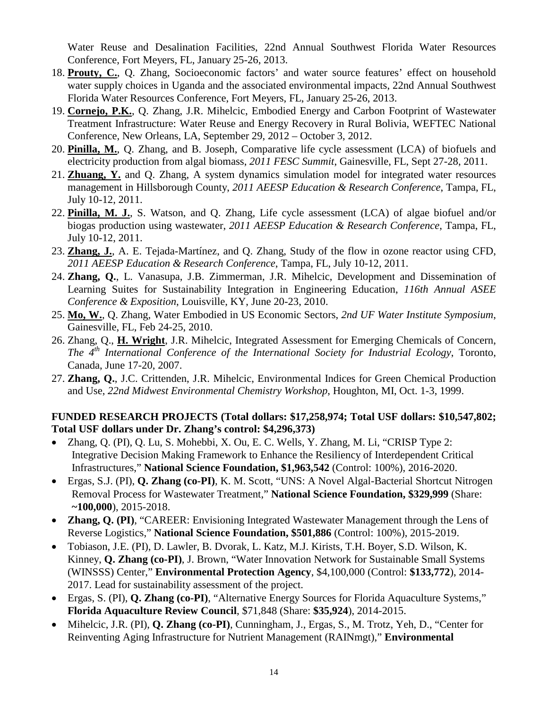Water Reuse and Desalination Facilities, 22nd Annual Southwest Florida Water Resources Conference, Fort Meyers, FL, January 25-26, 2013.

- 18. **Prouty, C.**, Q. Zhang, Socioeconomic factors' and water source features' effect on household water supply choices in Uganda and the associated environmental impacts, 22nd Annual Southwest Florida Water Resources Conference, Fort Meyers, FL, January 25-26, 2013.
- 19. **Cornejo, P.K.**, Q. Zhang, J.R. Mihelcic, Embodied Energy and Carbon Footprint of Wastewater Treatment Infrastructure: Water Reuse and Energy Recovery in Rural Bolivia, WEFTEC National Conference, New Orleans, LA, September 29, 2012 – October 3, 2012.
- 20. **Pinilla, M.**, Q. Zhang, and B. Joseph, Comparative life cycle assessment (LCA) of biofuels and electricity production from algal biomass, *2011 FESC Summit*, Gainesville, FL, Sept 27-28, 2011.
- 21. **Zhuang, Y.** and Q. Zhang, A system dynamics simulation model for integrated water resources management in Hillsborough County, *2011 AEESP Education & Research Conference*, Tampa, FL, July 10-12, 2011.
- 22. **Pinilla, M. J.**, S. Watson, and Q. Zhang, Life cycle assessment (LCA) of algae biofuel and/or biogas production using wastewater, *2011 AEESP Education & Research Conference*, Tampa, FL, July 10-12, 2011.
- 23. **Zhang, J.**, A. E. Tejada-Martínez, and Q. Zhang, Study of the flow in ozone reactor using CFD, *2011 AEESP Education & Research Conference*, Tampa, FL, July 10-12, 2011.
- 24. **Zhang, Q.**, L. Vanasupa, J.B. Zimmerman, J.R. Mihelcic, Development and Dissemination of Learning Suites for Sustainability Integration in Engineering Education, *116th Annual ASEE Conference & Exposition*, Louisville, KY, June 20-23, 2010.
- 25. **Mo, W.**, Q. Zhang, Water Embodied in US Economic Sectors, *2nd UF Water Institute Symposium*, Gainesville, FL, Feb 24-25, 2010.
- 26. Zhang, Q., **H. Wright**, J.R. Mihelcic, Integrated Assessment for Emerging Chemicals of Concern, *The 4th International Conference of the International Society for Industrial Ecology*, Toronto, Canada, June 17-20, 2007.
- 27. **Zhang, Q.**, J.C. Crittenden, J.R. Mihelcic, Environmental Indices for Green Chemical Production and Use, *22nd Midwest Environmental Chemistry Workshop*, Houghton, MI, Oct. 1-3, 1999.

#### **FUNDED RESEARCH PROJECTS (Total dollars: \$17,258,974; Total USF dollars: \$10,547,802; Total USF dollars under Dr. Zhang's control: \$4,296,373)**

- Zhang, Q. (PI), Q. Lu, S. Mohebbi, X. Ou, E. C. Wells, Y. Zhang, M. Li, "CRISP Type 2: Integrative Decision Making Framework to Enhance the Resiliency of Interdependent Critical Infrastructures," **National Science Foundation, \$1,963,542** (Control: 100%), 2016-2020.
- Ergas, S.J. (PI), **Q. Zhang (co-PI)**, K. M. Scott, "UNS: A Novel Algal-Bacterial Shortcut Nitrogen Removal Process for Wastewater Treatment," **National Science Foundation, \$329,999** (Share: **~100,000**), 2015-2018.
- **Zhang, Q. (PI)**, "CAREER: Envisioning Integrated Wastewater Management through the Lens of Reverse Logistics," **National Science Foundation, \$501,886** (Control: 100%), 2015-2019.
- Tobiason, J.E. (PI), D. Lawler, B. Dvorak, L. Katz, M.J. Kirists, T.H. Boyer, S.D. Wilson, K. Kinney, **Q. Zhang (co-PI)**, J. Brown, "Water Innovation Network for Sustainable Small Systems (WINSSS) Center," **Environmental Protection Agency**, \$4,100,000 (Control: **\$133,772**), 2014- 2017. Lead for sustainability assessment of the project.
- Ergas, S. (PI), **Q. Zhang (co-PI)**, "Alternative Energy Sources for Florida Aquaculture Systems," **Florida Aquaculture Review Council**, \$71,848 (Share: **\$35,924**), 2014-2015.
- Mihelcic, J.R. (PI), **Q. Zhang (co-PI)**, Cunningham, J., Ergas, S., M. Trotz, Yeh, D., "Center for Reinventing Aging Infrastructure for Nutrient Management (RAINmgt)," **Environmental**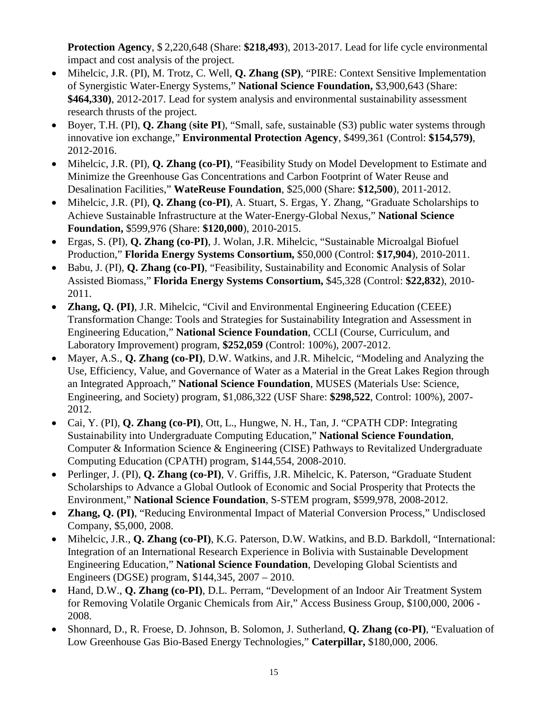**Protection Agency**, \$ 2,220,648 (Share: **\$218,493**), 2013-2017. Lead for life cycle environmental impact and cost analysis of the project.

- Mihelcic, J.R. (PI), M. Trotz, C. Well, **Q. Zhang (SP)**, "PIRE: Context Sensitive Implementation of Synergistic Water-Energy Systems," **National Science Foundation,** \$3,900,643 (Share: **\$464,330)**, 2012-2017. Lead for system analysis and environmental sustainability assessment research thrusts of the project.
- Boyer, T.H. (PI), **Q. Zhang** (**site PI**), "Small, safe, sustainable (S3) public water systems through innovative ion exchange," **Environmental Protection Agency**, \$499,361 (Control: **\$154,579)**, 2012-2016.
- Mihelcic, J.R. (PI), **Q. Zhang (co-PI)**, "Feasibility Study on Model Development to Estimate and Minimize the Greenhouse Gas Concentrations and Carbon Footprint of Water Reuse and Desalination Facilities," **WateReuse Foundation**, \$25,000 (Share: **\$12,500**), 2011-2012.
- Mihelcic, J.R. (PI), **Q. Zhang (co-PI)**, A. Stuart, S. Ergas, Y. Zhang, "Graduate Scholarships to Achieve Sustainable Infrastructure at the Water-Energy-Global Nexus," **National Science Foundation,** \$599,976 (Share: **\$120,000**), 2010-2015.
- Ergas, S. (PI), **Q. Zhang (co-PI)**, J. Wolan, J.R. Mihelcic, "Sustainable Microalgal Biofuel Production," **Florida Energy Systems Consortium,** \$50,000 (Control: **\$17,904**), 2010-2011.
- Babu, J. (PI), **Q. Zhang (co-PI)**, "Feasibility, Sustainability and Economic Analysis of Solar Assisted Biomass," **Florida Energy Systems Consortium,** \$45,328 (Control: **\$22,832**), 2010- 2011.
- **Zhang, Q. (PI)**, J.R. Mihelcic, "Civil and Environmental Engineering Education (CEEE) Transformation Change: Tools and Strategies for Sustainability Integration and Assessment in Engineering Education," **National Science Foundation**, CCLI (Course, Curriculum, and Laboratory Improvement) program, **\$252,059** (Control: 100%), 2007-2012.
- Mayer, A.S., **Q. Zhang (co-PI)**, D.W. Watkins, and J.R. Mihelcic, "Modeling and Analyzing the Use, Efficiency, Value, and Governance of Water as a Material in the Great Lakes Region through an Integrated Approach," **National Science Foundation**, MUSES (Materials Use: Science, Engineering, and Society) program, \$1,086,322 (USF Share: **\$298,522**, Control: 100%), 2007- 2012.
- Cai, Y. (PI), **Q. Zhang (co-PI)**, Ott, L., Hungwe, N. H., Tan, J. "CPATH CDP: Integrating Sustainability into Undergraduate Computing Education," **National Science Foundation**, Computer & Information Science & Engineering (CISE) Pathways to Revitalized Undergraduate Computing Education (CPATH) program, \$144,554, 2008-2010.
- Perlinger, J. (PI), **Q. Zhang (co-PI)**, V. Griffis, J.R. Mihelcic, K. Paterson, "Graduate Student Scholarships to Advance a Global Outlook of Economic and Social Prosperity that Protects the Environment," **National Science Foundation**, S-STEM program, \$599,978, 2008-2012.
- **Zhang, Q. (PI)**, "Reducing Environmental Impact of Material Conversion Process," Undisclosed Company, \$5,000, 2008.
- Mihelcic, J.R., **Q. Zhang (co-PI)**, K.G. Paterson, D.W. Watkins, and B.D. Barkdoll, "International: Integration of an International Research Experience in Bolivia with Sustainable Development Engineering Education," **National Science Foundation**, Developing Global Scientists and Engineers (DGSE) program, \$144,345, 2007 – 2010.
- Hand, D.W., **Q. Zhang (co-PI)**, D.L. Perram, "Development of an Indoor Air Treatment System for Removing Volatile Organic Chemicals from Air," Access Business Group, \$100,000, 2006 - 2008.
- Shonnard, D., R. Froese, D. Johnson, B. Solomon, J. Sutherland, **Q. Zhang (co-PI)**, "Evaluation of Low Greenhouse Gas Bio-Based Energy Technologies," **Caterpillar,** \$180,000, 2006.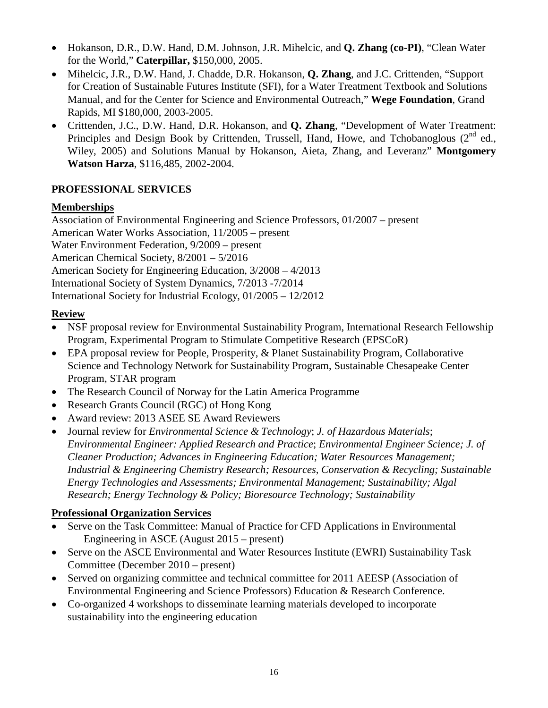- Hokanson, D.R., D.W. Hand, D.M. Johnson, J.R. Mihelcic, and **Q. Zhang (co-PI)**, "Clean Water for the World," **Caterpillar,** \$150,000, 2005.
- Mihelcic, J.R., D.W. Hand, J. Chadde, D.R. Hokanson, **Q. Zhang**, and J.C. Crittenden, "Support for Creation of Sustainable Futures Institute (SFI), for a Water Treatment Textbook and Solutions Manual, and for the Center for Science and Environmental Outreach," **Wege Foundation**, Grand Rapids, MI \$180,000, 2003-2005.
- Crittenden, J.C., D.W. Hand, D.R. Hokanson, and **Q. Zhang**, "Development of Water Treatment: Principles and Design Book by Crittenden, Trussell, Hand, Howe, and Tchobanoglous  $(2^{nd}$  ed., Wiley, 2005) and Solutions Manual by Hokanson, Aieta, Zhang, and Leveranz" **Montgomery Watson Harza**, \$116,485, 2002-2004.

## **PROFESSIONAL SERVICES**

## **Memberships**

Association of Environmental Engineering and Science Professors, 01/2007 – present American Water Works Association, 11/2005 – present Water Environment Federation, 9/2009 – present American Chemical Society, 8/2001 – 5/2016 American Society for Engineering Education, 3/2008 – 4/2013 International Society of System Dynamics, 7/2013 -7/2014 International Society for Industrial Ecology, 01/2005 – 12/2012

# **Review**

- NSF proposal review for Environmental Sustainability Program, International Research Fellowship Program, Experimental Program to Stimulate Competitive Research (EPSCoR)
- EPA proposal review for People, Prosperity, & Planet Sustainability Program, Collaborative Science and Technology Network for Sustainability Program, Sustainable Chesapeake Center Program, STAR program
- The Research Council of Norway for the Latin America Programme
- Research Grants Council (RGC) of Hong Kong
- Award review: 2013 ASEE SE Award Reviewers
- Journal review for *Environmental Science & Technology*; *J. of Hazardous Materials*; *Environmental Engineer: Applied Research and Practice*; *Environmental Engineer Science; J. of Cleaner Production; Advances in Engineering Education; Water Resources Management; Industrial & Engineering Chemistry Research; Resources, Conservation & Recycling; Sustainable Energy Technologies and Assessments; Environmental Management; Sustainability; Algal Research; Energy Technology & Policy; Bioresource Technology; Sustainability*

# **Professional Organization Services**

- Serve on the Task Committee: Manual of Practice for CFD Applications in Environmental Engineering in ASCE (August 2015 – present)
- Serve on the ASCE Environmental and Water Resources Institute (EWRI) Sustainability Task Committee (December 2010 – present)
- Served on organizing committee and technical committee for 2011 AEESP (Association of Environmental Engineering and Science Professors) Education & Research Conference.
- Co-organized 4 workshops to disseminate learning materials developed to incorporate sustainability into the engineering education